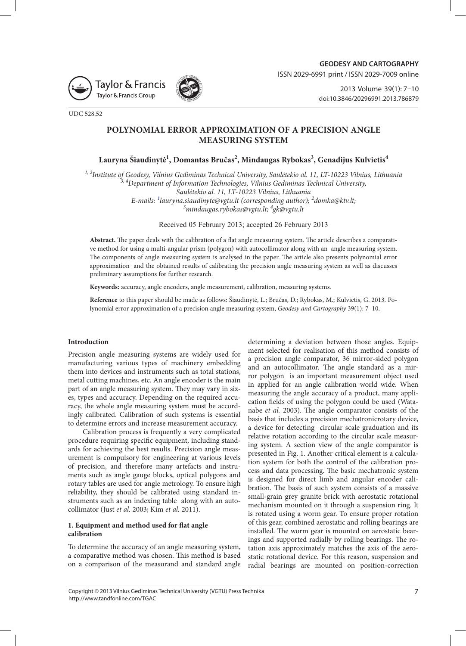**GEODESY AND CARTOGRAPHY**

ISSN 2029-6991 print / ISSN 2029-7009 online





UDC 528.52

2013 Volume 39(1): 7–10 doi:10.3846/20296991.2013.786879

# **Polynomial error approximation of A precision angle measuring system**

## **Lauryna Šiaudinytė1 , Domantas Bručas2 , Mindaugas Rybokas<sup>3</sup> , Genadijus Kulvietis4**

*1, 2Institute of Geodesy, Vilnius Gediminas Technical University, Saulėtekio al. 11, LT-10223 Vilnius, Lithuania 3, 4Department of Information Technologies, Vilnius Gediminas Technical University, Saulėtekio al. 11, LT-10223 Vilnius, Lithuania E-mails: <sup>1</sup> lauryna.siaudinyte@vgtu.lt (corresponding author); <sup>2</sup> domka@ktv.lt;* 

*3 mindaugas.rybokas@vgtu.lt; <sup>4</sup> gk@vgtu.lt*

Received 05 February 2013; accepted 26 February 2013

**Abstract.** The paper deals with the calibration of a flat angle measuring system. The article describes a comparative method for using a multi-angular prism (polygon) with autocollimator along with an angle measuring system. The components of angle measuring system is analysed in the paper. The article also presents polynomial error approximation and the obtained results of calibrating the precision angle measuring system as well as discusses preliminary assumptions for further research.

**Keywords:** accuracy, angle encoders, angle measurement, calibration, measuring systems.

**Reference** to this paper should be made as follows: Šiaudinytė, L.; Bručas, D.; Rybokas, M.; Kulvietis, G. 2013. Polynomial error approximation of a precision angle measuring system, *Geodesy and Cartography* 39(1): 7–10.

## **Introduction**

Precision angle measuring systems are widely used for manufacturing various types of machinery embedding them into devices and instruments such as total stations, metal cutting machines, etc. An angle encoder is the main part of an angle measuring system. They may vary in sizes, types and accuracy. Depending on the required accuracy, the whole angle measuring system must be accordingly calibrated. Calibration of such systems is essential to determine errors and increase measurement accuracy.

Calibration process is frequently a very complicated procedure requiring specific equipment, including standards for achieving the best results. Precision angle measurement is compulsory for engineering at various levels of precision, and therefore many artefacts and instruments such as angle gauge blocks, optical polygons and rotary tables are used for angle metrology. To ensure high reliability, they should be calibrated using standard instruments such as an indexing table along with an autocollimator (Just *et al.* 2003; Kim *et al.* 2011).

### **1. Equipment and method used for flat angle calibration**

To determine the accuracy of an angle measuring system, a comparative method was chosen. This method is based on a comparison of the measurand and standard angle

determining a deviation between those angles. Equipment selected for realisation of this method consists of a precision angle comparator, 36 mirror-sided polygon and an autocollimator. The angle standard as a mirror polygon is an important measurement object used in applied for an angle calibration world wide. When measuring the angle accuracy of a product, many application fields of using the polygon could be used (Watanabe *et al.* 2003)*.* The angle comparator consists of the basis that includes a precision mechatronicrotary device, a device for detecting circular scale graduation and its relative rotation according to the circular scale measuring system. A section view of the angle comparator is presented in Fig. 1. Another critical element is a calculation system for both the control of the calibration process and data processing. The basic mechatronic system is designed for direct limb and angular encoder calibration. The basis of such system consists of a massive small-grain grey granite brick with aerostatic rotational mechanism mounted on it through a suspension ring. It is rotated using a worm gear. To ensure proper rotation of this gear, combined aerostatic and rolling bearings are installed. The worm gear is mounted on aerostatic bearings and supported radially by rolling bearings. The rotation axis approximately matches the axis of the aerostatic rotational device. For this reason, suspension and radial bearings are mounted on position-correction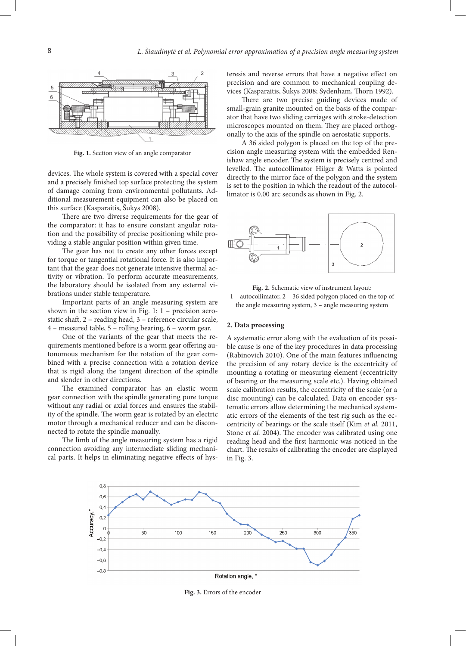

**Fig. 1.** Section view of an angle comparator

devices. The whole system is covered with a special cover and a precisely finished top surface protecting the system of damage coming from environmental pollutants. Additional measurement equipment can also be placed on this surface (Kasparaitis, Šukys 2008).

There are two diverse requirements for the gear of the comparator: it has to ensure constant angular rotation and the possibility of precise positioning while providing a stable angular position within given time.

The gear has not to create any other forces except for torque or tangential rotational force. It is also important that the gear does not generate intensive thermal activity or vibration. To perform accurate measurements, the laboratory should be isolated from any external vibrations under stable temperature.

Important parts of an angle measuring system are shown in the section view in Fig. 1: 1 – precision aerostatic shaft, 2 – reading head, 3 – reference circular scale, 4 – measured table, 5 – rolling bearing, 6 – worm gear.

One of the variants of the gear that meets the requirements mentioned before is a worm gear offering autonomous mechanism for the rotation of the gear combined with a precise connection with a rotation device that is rigid along the tangent direction of the spindle and slender in other directions.

The examined comparator has an elastic worm gear connection with the spindle generating pure torque without any radial or axial forces and ensures the stability of the spindle. The worm gear is rotated by an electric motor through a mechanical reducer and can be disconnected to rotate the spindle manually.

The limb of the angle measuring system has a rigid connection avoiding any intermediate sliding mechanical parts. It helps in eliminating negative effects of hysteresis and reverse errors that have a negative effect on precision and are common to mechanical coupling devices (Kasparaitis, Šukys 2008; Sydenham, Thorn 1992).

There are two precise guiding devices made of small-grain granite mounted on the basis of the comparator that have two sliding carriages with stroke-detection microscopes mounted on them. They are placed orthogonally to the axis of the spindle on aerostatic supports.

A 36 sided polygon is placed on the top of the precision angle measuring system with the embedded Renishaw angle encoder. The system is precisely centred and levelled. The autocollimator Hilger & Watts is pointed directly to the mirror face of the polygon and the system is set to the position in which the readout of the autocollimator is 0.00 arc seconds as shown in Fig. 2.



**Fig. 2.** Schematic view of instrument layout: 1 – autocollimator, 2 – 36 sided polygon placed on the top of the angle measuring system, 3 – angle measuring system

#### **2. Data processing**

A systematic error along with the evaluation of its possible cause is one of the key procedures in data processing (Rabinovich 2010). One of the main features influencing the precision of any rotary device is the eccentricity of mounting a rotating or measuring element (eccentricity of bearing or the measuring scale etc.). Having obtained scale calibration results, the eccentricity of the scale (or a disc mounting) can be calculated. Data on encoder systematic errors allow determining the mechanical systematic errors of the elements of the test rig such as the eccentricity of bearings or the scale itself (Kim *et al.* 2011, Stone *et al.* 2004). The encoder was calibrated using one reading head and the first harmonic was noticed in the chart. The results of calibrating the encoder are displayed in Fig. 3.



**Fig. 3.** Errors of the encoder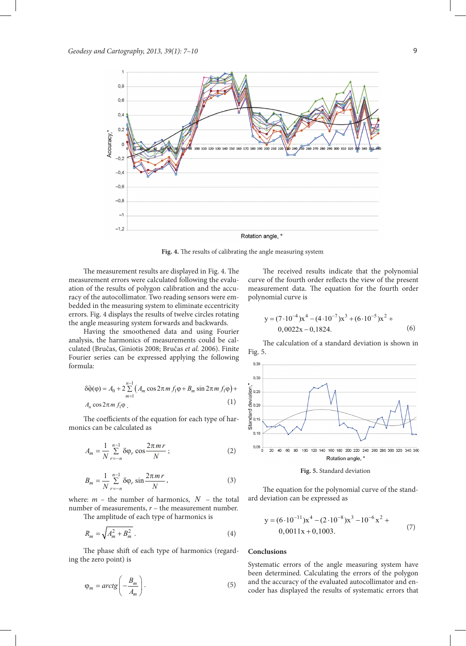

**Fig. 4.** The results of calibrating the angle measuring system

The measurement results are displayed in Fig. 4. The measurement errors were calculated following the evaluation of the results of polygon calibration and the accuracy of the autocollimator. Two reading sensors were embedded in the measuring system to eliminate eccentricity errors. Fig. 4 displays the results of twelve circles rotating the angle measuring system forwards and backwards.

Having the smoothened data and using Fourier analysis, the harmonics of measurements could be calculated (Bručas, Giniotis 2008; Bručas *et al.* 2006). Finite Fourier series can be expressed applying the following formula:

$$
\delta \tilde{\varphi}(\varphi) = A_0 + 2 \sum_{m=1}^{n-1} \left( A_m \cos 2\pi m f_1 \varphi + B_m \sin 2\pi m f_1 \varphi \right) +
$$
  

$$
A_n \cos 2\pi m f_1 \varphi . \tag{1}
$$

The coefficients of the equation for each type of harmonics can be calculated as

$$
A_m = \frac{1}{N} \sum_{r=-n}^{n-1} \delta \varphi_r \cos \frac{2\pi mr}{N};
$$
 (2)

$$
B_m = \frac{1}{N} \sum_{r=-n}^{n-1} \delta \varphi_r \sin \frac{2\pi mr}{N},
$$
 (3)

where: *m* – the number of harmonics, *N* – the total number of measurements, *r* – the measurement number.

The amplitude of each type of harmonics is

$$
R_m = \sqrt{A_m^2 + B_m^2} \ . \tag{4}
$$

The phase shift of each type of harmonics (regarding the zero point) is

$$
\varphi_m = \arctg\left(-\frac{B_m}{A_m}\right). \tag{5}
$$

The received results indicate that the polynomial curve of the fourth order reflects the view of the present measurement data. The equation for the fourth order polynomial curve is

$$
y = (7 \cdot 10^{-4})x^{4} - (4 \cdot 10^{-7})x^{3} + (6 \cdot 10^{-5})x^{2} + 0,0022x - 0,1824.
$$
 (6)

The calculation of a standard deviation is shown in Fig. 5.



**Fig. 5.** Standard deviation

The equation for the polynomial curve of the standard deviation can be expressed as

$$
y = (6.10^{-11})x4 - (2.10^{-8})x3 - 10^{-6}x2 + 0,0011x + 0,1003.
$$
 (7)

#### **Conclusions**

Systematic errors of the angle measuring system have been determined. Calculating the errors of the polygon and the accuracy of the evaluated autocollimator and encoder has displayed the results of systematic errors that